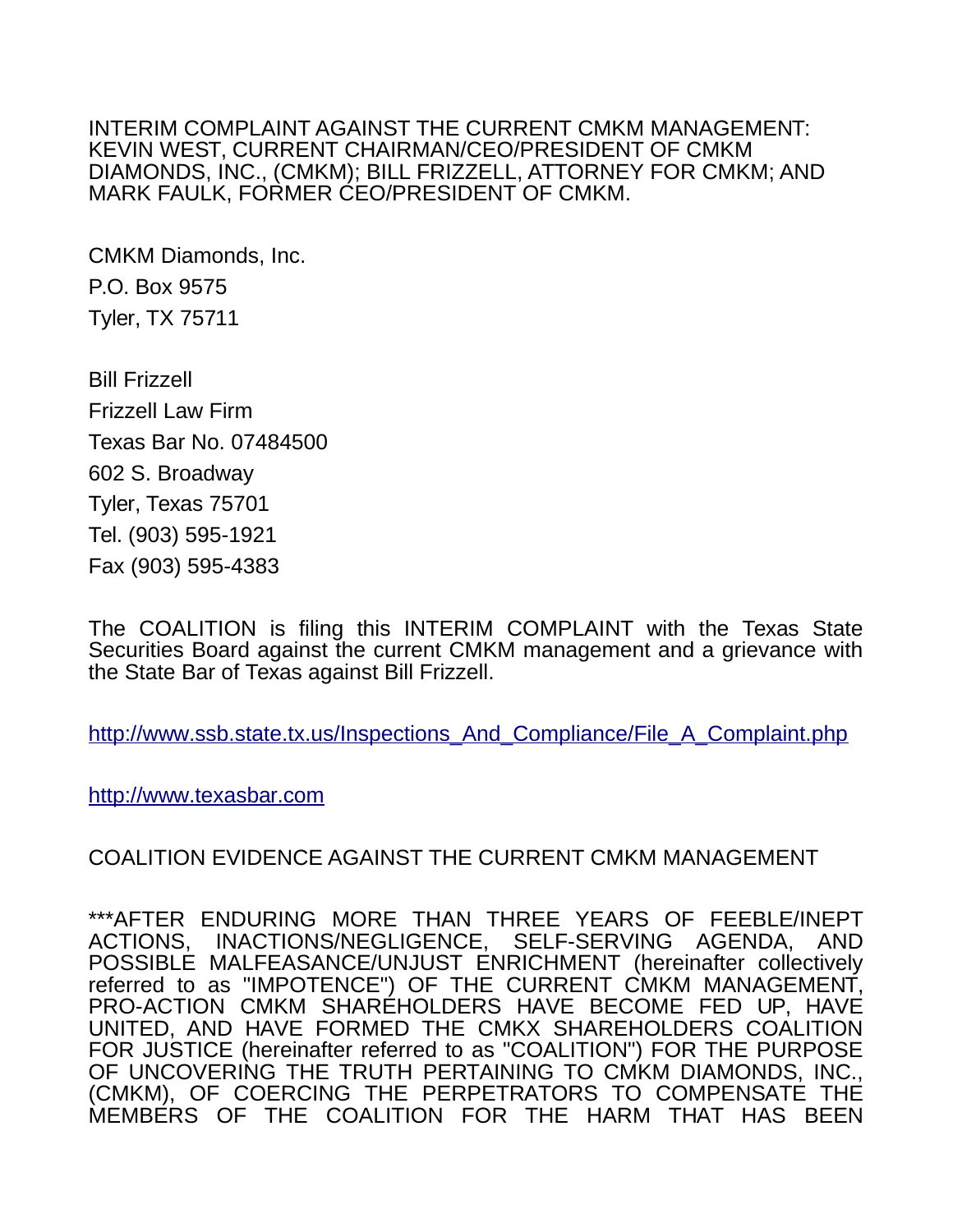INTERIM COMPLAINT AGAINST THE CURRENT CMKM MANAGEMENT: KEVIN WEST, CURRENT CHAIRMAN/CEO/PRESIDENT OF CMKM DIAMONDS, INC., (CMKM); BILL FRIZZELL, ATTORNEY FOR CMKM; AND MARK FAULK, FORMER CEO/PRESIDENT OF CMKM.

CMKM Diamonds, Inc. P.O. Box 9575 Tyler, TX 75711

Bill Frizzell Frizzell Law Firm Texas Bar No. 07484500 602 S. Broadway Tyler, Texas 75701 Tel. (903) 595-1921 Fax (903) 595-4383

The COALITION is filing this INTERIM COMPLAINT with the Texas State Securities Board against the current CMKM management and a grievance with the State Bar of Texas against Bill Frizzell.

[http://www.ssb.state.tx.us/Inspections\\_And\\_Compliance/File\\_A\\_Complaint.php](http://www.ssb.state.tx.us/Inspections_And_Compliance/File_A_Complaint.php)

[http://www.texasbar.com](http://www.texasbar.com/)

COALITION EVIDENCE AGAINST THE CURRENT CMKM MANAGEMENT

\*\*\*AFTER ENDURING MORE THAN THREE YEARS OF FEEBLE/INEPT INACTIONS/NEGLIGENCE, SELF-SERVING AGENDA, AND POSSIBLE MALFEASANCE/UNJUST ENRICHMENT (hereinafter collectively referred to as "IMPOTENCE") OF THE CURRENT CMKM MANAGEMENT, PRO-ACTION CMKM SHAREHOLDERS HAVE BECOME FED UP, HAVE UNITED, AND HAVE FORMED THE CMKX SHAREHOLDERS COALITION FOR JUSTICE (hereinafter referred to as "COALITION") FOR THE PURPOSE OF UNCOVERING THE TRUTH PERTAINING TO CMKM DIAMONDS, INC., (CMKM), OF COERCING THE PERPETRATORS TO COMPENSATE THE MEMBERS OF THE COALITION FOR THE HARM THAT HAS BEEN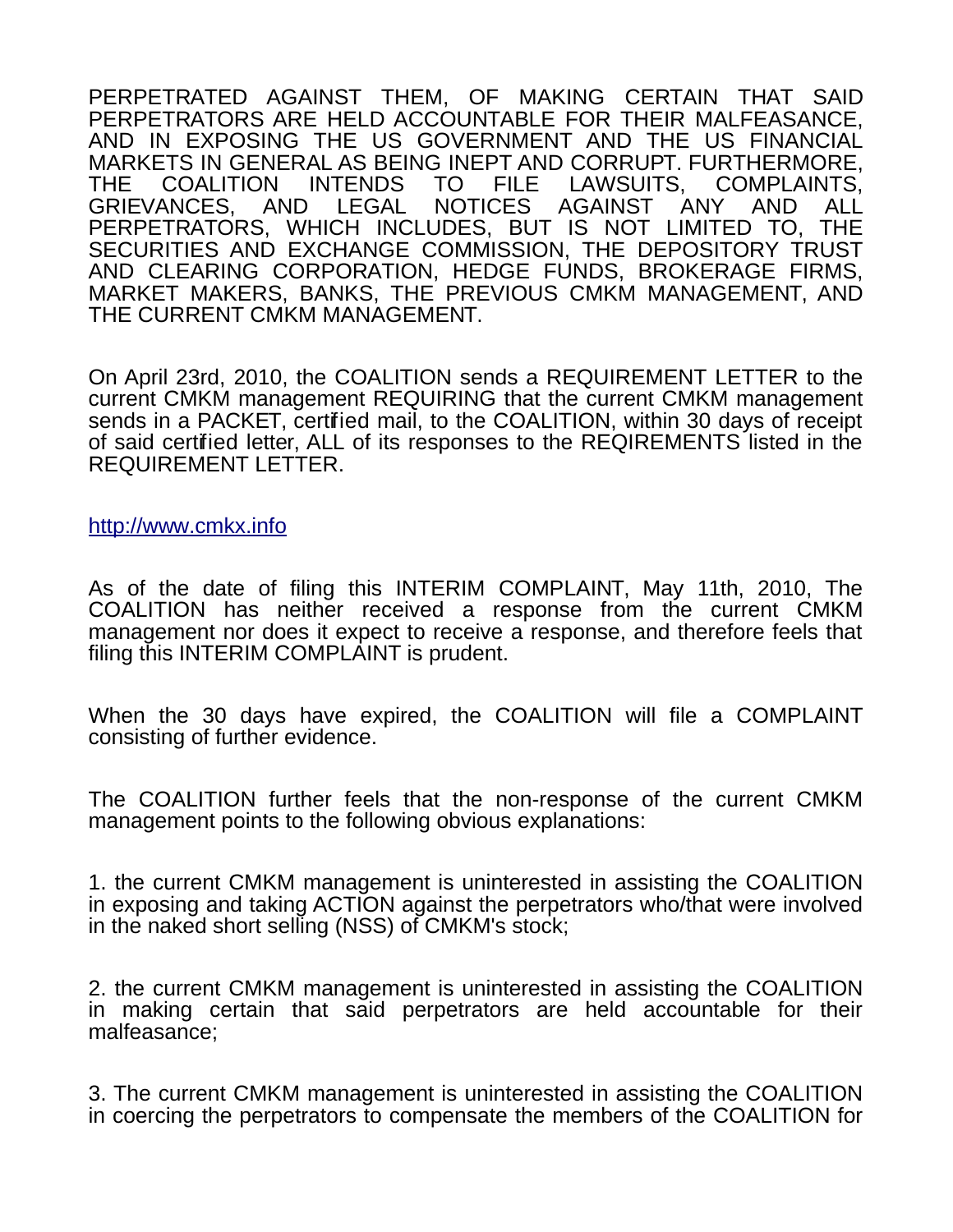PERPETRATED AGAINST THEM, OF MAKING CERTAIN THAT SAID PERPETRATORS ARE HELD ACCOUNTABLE FOR THEIR MALFEASANCE, AND IN EXPOSING THE US GOVERNMENT AND THE US FINANCIAL MARKETS IN GENERAL AS BEING INEPT AND CORRUPT. FURTHERMORE, THE COALITION INTENDS TO FILE LAWSUITS, COMPLAINTS,<br>GRIEVANCES. AND LEGAL NOTICES AGAINST ANY AND ALL GRIEVANCES, AND LEGAL NOTICES AGAINST ANY AND ALL PERPETRATORS, WHICH INCLUDES, BUT IS NOT LIMITED TO, THE SECURITIES AND EXCHANGE COMMISSION, THE DEPOSITORY TRUST AND CLEARING CORPORATION, HEDGE FUNDS, BROKERAGE FIRMS, MARKET MAKERS, BANKS, THE PREVIOUS CMKM MANAGEMENT, AND THE CURRENT CMKM MANAGEMENT.

On April 23rd, 2010, the COALITION sends a REQUIREMENT LETTER to the current CMKM management REQUIRING that the current CMKM management sends in a PACKET, certified mail, to the COALITION, within 30 days of receipt of said certified letter, ALL of its responses to the REQIREMENTS listed in the REQUIREMENT LETTER.

[http://www.cmkx.info](http://www.cmkx.info/)

As of the date of filing this INTERIM COMPLAINT, May 11th, 2010, The COALITION has neither received a response from the current CMKM management nor does it expect to receive a response, and therefore feels that filing this INTERIM COMPLAINT is prudent.

When the 30 days have expired, the COALITION will file a COMPLAINT consisting of further evidence.

The COALITION further feels that the non-response of the current CMKM management points to the following obvious explanations:

1. the current CMKM management is uninterested in assisting the COALITION in exposing and taking ACTION against the perpetrators who/that were involved in the naked short selling (NSS) of CMKM's stock;

2. the current CMKM management is uninterested in assisting the COALITION in making certain that said perpetrators are held accountable for their malfeasance;

3. The current CMKM management is uninterested in assisting the COALITION in coercing the perpetrators to compensate the members of the COALITION for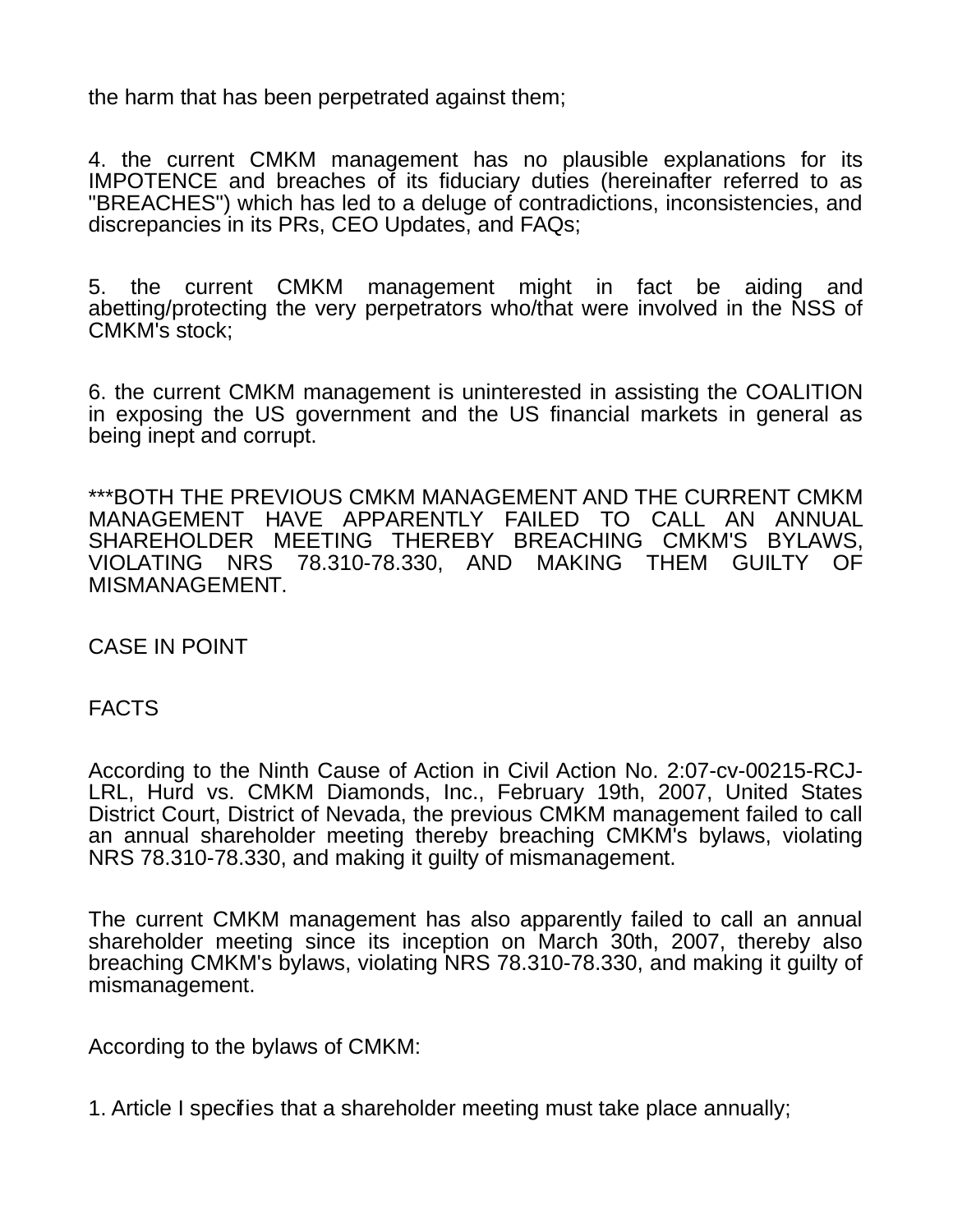the harm that has been perpetrated against them;

4. the current CMKM management has no plausible explanations for its IMPOTENCE and breaches of its fiduciary duties (hereinafter referred to as "BREACHES") which has led to a deluge of contradictions, inconsistencies, and discrepancies in its PRs, CEO Updates, and FAQs;

5. the current CMKM management might in fact be aiding and abetting/protecting the very perpetrators who/that were involved in the NSS of CMKM's stock;

6. the current CMKM management is uninterested in assisting the COALITION in exposing the US government and the US financial markets in general as being inept and corrupt.

\*\*\*BOTH THE PREVIOUS CMKM MANAGEMENT AND THE CURRENT CMKM MANAGEMENT HAVE APPARENTLY FAILED TO CALL AN ANNUAL SHAREHOLDER MEETING THEREBY BREACHING CMKM'S BYLAWS, VIOLATING NRS 78.310-78.330, AND MAKING THEM GUILTY OF MISMANAGEMENT.

CASE IN POINT

FACTS

According to the Ninth Cause of Action in Civil Action No. 2:07-cv-00215-RCJ-LRL, Hurd vs. CMKM Diamonds, Inc., February 19th, 2007, United States District Court, District of Nevada, the previous CMKM management failed to call an annual shareholder meeting thereby breaching CMKM's bylaws, violating NRS 78.310-78.330, and making it guilty of mismanagement.

The current CMKM management has also apparently failed to call an annual shareholder meeting since its inception on March 30th, 2007, thereby also breaching CMKM's bylaws, violating NRS 78.310-78.330, and making it guilty of mismanagement.

According to the bylaws of CMKM:

1. Article I specifies that a shareholder meeting must take place annually;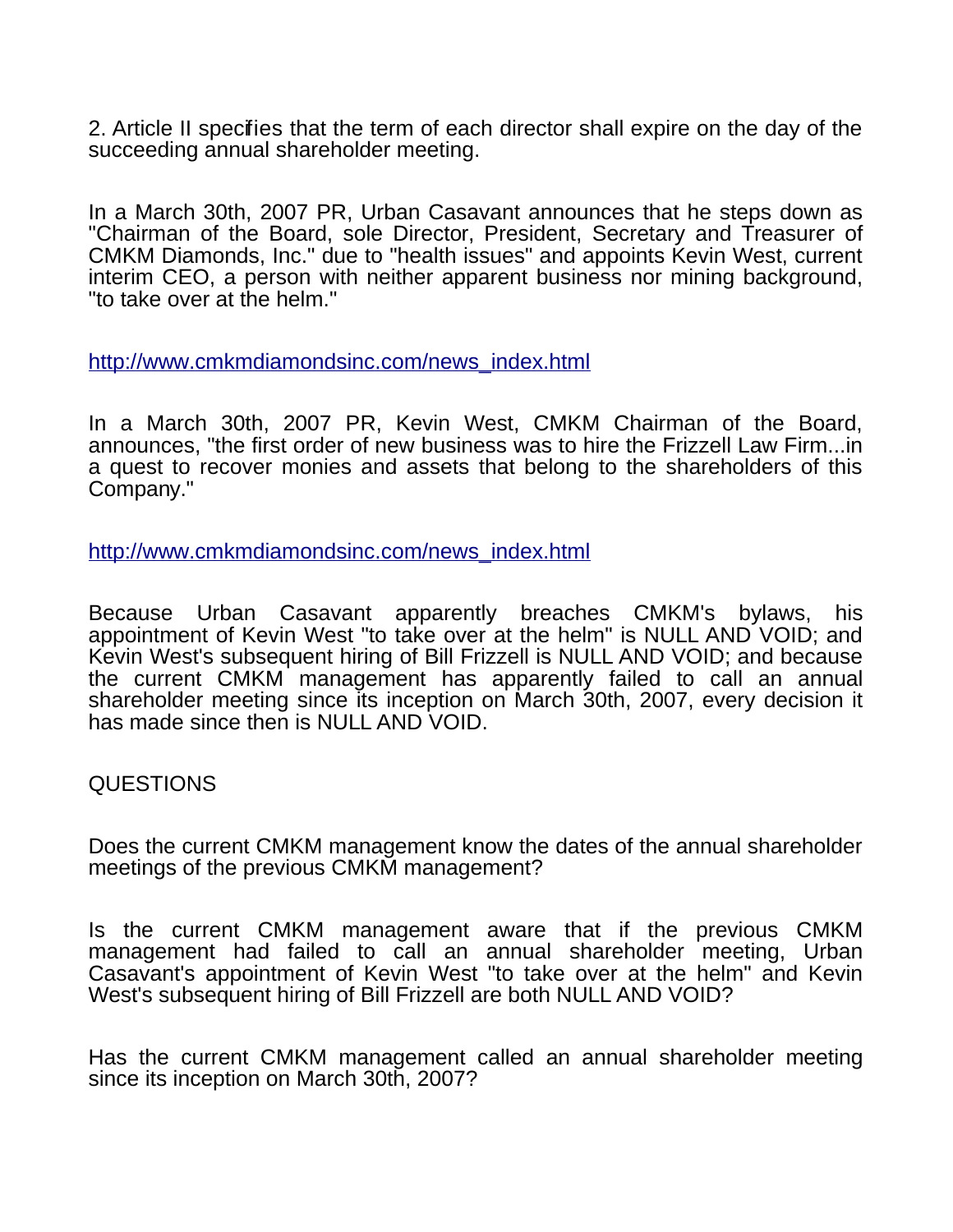2. Article II specifies that the term of each director shall expire on the day of the succeeding annual shareholder meeting.

In a March 30th, 2007 PR, Urban Casavant announces that he steps down as "Chairman of the Board, sole Director, President, Secretary and Treasurer of CMKM Diamonds, Inc." due to "health issues" and appoints Kevin West, current interim CEO, a person with neither apparent business nor mining background, "to take over at the helm."

[http://www.cmkmdiamondsinc.com/news\\_index.html](http://www.cmkmdiamondsinc.com/news_index.html)

In a March 30th, 2007 PR, Kevin West, CMKM Chairman of the Board, announces, "the first order of new business was to hire the Frizzell Law Firm...in a quest to recover monies and assets that belong to the shareholders of this Company."

[http://www.cmkmdiamondsinc.com/news\\_index.html](http://www.cmkmdiamondsinc.com/news_index.html)

Because Urban Casavant apparently breaches CMKM's bylaws, his appointment of Kevin West "to take over at the helm" is NULL AND VOID; and Kevin West's subsequent hiring of Bill Frizzell is NULL AND VOID; and because the current CMKM management has apparently failed to call an annual shareholder meeting since its inception on March 30th, 2007, every decision it has made since then is NULL AND VOID.

## QUESTIONS

Does the current CMKM management know the dates of the annual shareholder meetings of the previous CMKM management?

Is the current CMKM management aware that if the previous CMKM management had failed to call an annual shareholder meeting, Urban Casavant's appointment of Kevin West "to take over at the helm" and Kevin West's subsequent hiring of Bill Frizzell are both NULL AND VOID?

Has the current CMKM management called an annual shareholder meeting since its inception on March 30th, 2007?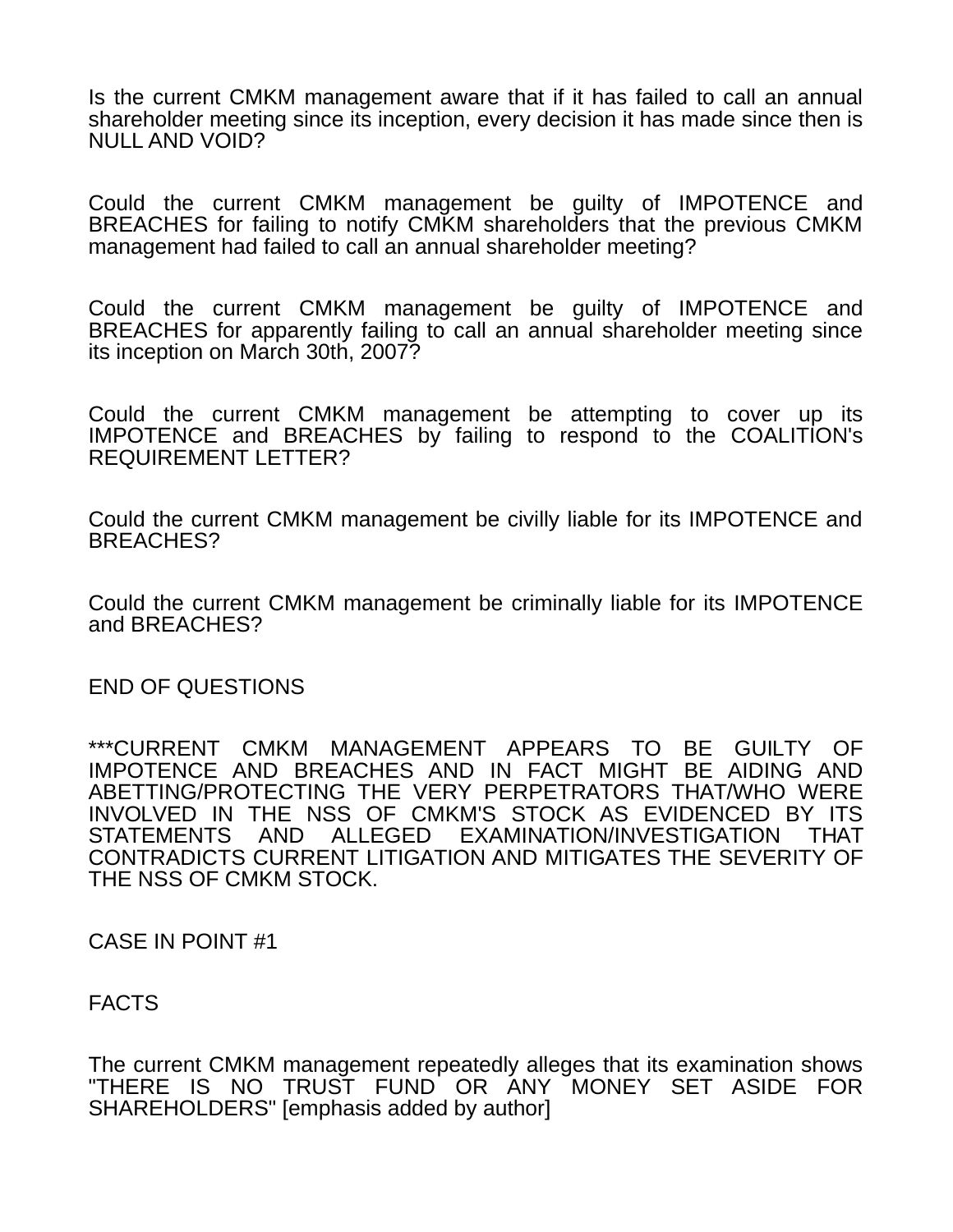Is the current CMKM management aware that if it has failed to call an annual shareholder meeting since its inception, every decision it has made since then is NULL AND VOID?

Could the current CMKM management be guilty of IMPOTENCE and BREACHES for failing to notify CMKM shareholders that the previous CMKM management had failed to call an annual shareholder meeting?

Could the current CMKM management be guilty of IMPOTENCE and BREACHES for apparently failing to call an annual shareholder meeting since its inception on March 30th, 2007?

Could the current CMKM management be attempting to cover up its IMPOTENCE and BREACHES by failing to respond to the COALITION's REQUIREMENT LETTER?

Could the current CMKM management be civilly liable for its IMPOTENCE and BREACHES?

Could the current CMKM management be criminally liable for its IMPOTENCE and BREACHES?

END OF QUESTIONS

\*\*\*CURRENT CMKM MANAGEMENT APPEARS TO BE GUILTY OF IMPOTENCE AND BREACHES AND IN FACT MIGHT BE AIDING AND ABETTING/PROTECTING THE VERY PERPETRATORS THAT/WHO WERE INVOLVED IN THE NSS OF CMKM'S STOCK AS EVIDENCED BY ITS STATEMENTS AND ALLEGED EXAMINATION/INVESTIGATION THAT CONTRADICTS CURRENT LITIGATION AND MITIGATES THE SEVERITY OF THE NSS OF CMKM STOCK.

CASE IN POINT #1

FACTS

The current CMKM management repeatedly alleges that its examination shows "THERE IS NO TRUST FUND OR ANY MONEY SET ASIDE FOR SHAREHOLDERS" [emphasis added by author]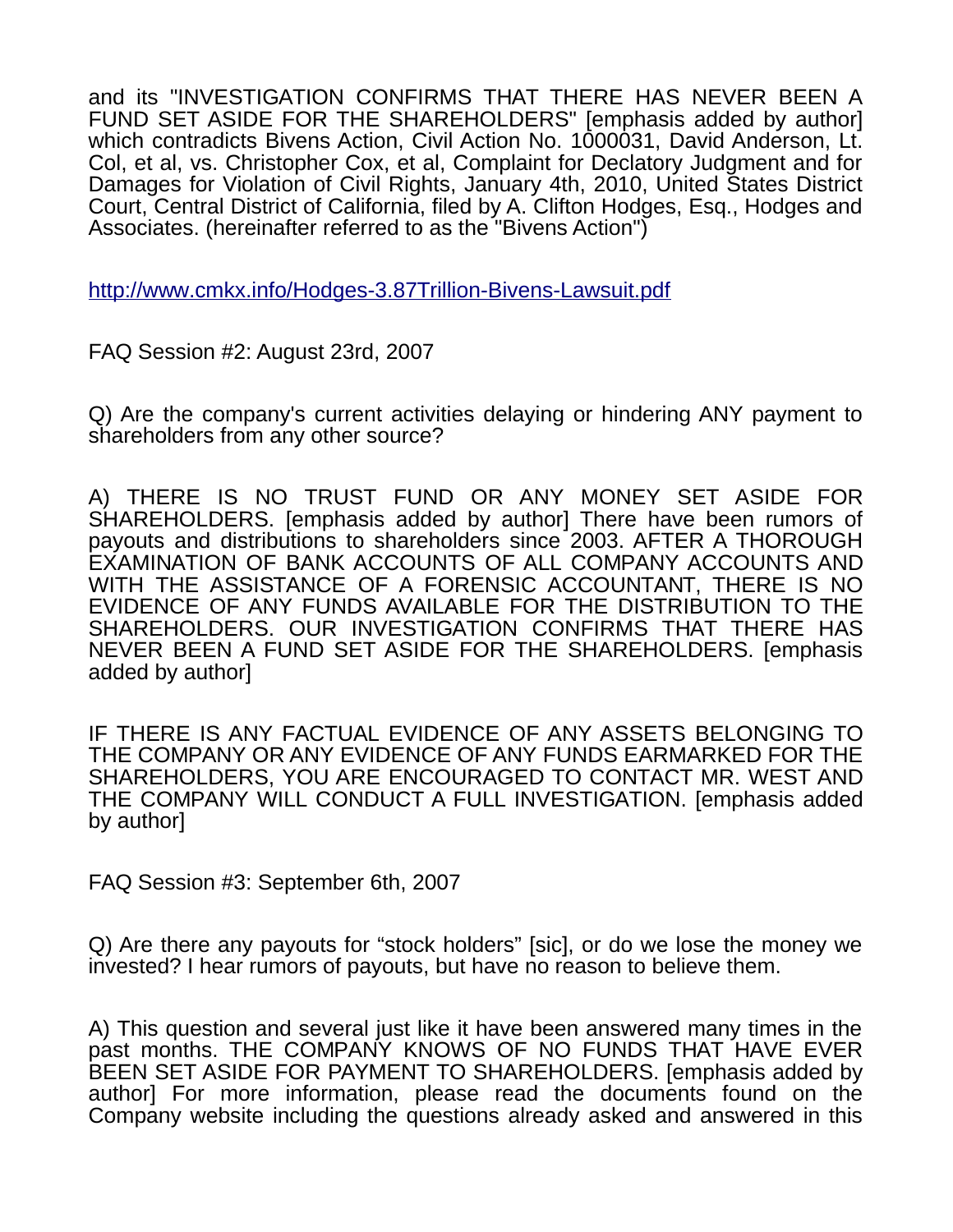and its "INVESTIGATION CONFIRMS THAT THERE HAS NEVER BEEN A FUND SET ASIDE FOR THE SHAREHOLDERS" [emphasis added by author] which contradicts Bivens Action, Civil Action No. 1000031, David Anderson, Lt. Col, et al, vs. Christopher Cox, et al, Complaint for Declatory Judgment and for Damages for Violation of Civil Rights, January 4th, 2010, United States District Court, Central District of California, filed by A. Clifton Hodges, Esq., Hodges and Associates. (hereinafter referred to as the "Bivens Action")

<http://www.cmkx.info/Hodges-3.87Trillion-Bivens-Lawsuit.pdf>

FAQ Session #2: August 23rd, 2007

Q) Are the company's current activities delaying or hindering ANY payment to shareholders from any other source?

A) THERE IS NO TRUST FUND OR ANY MONEY SET ASIDE FOR SHAREHOLDERS. [emphasis added by author] There have been rumors of payouts and distributions to shareholders since 2003. AFTER A THOROUGH EXAMINATION OF BANK ACCOUNTS OF ALL COMPANY ACCOUNTS AND WITH THE ASSISTANCE OF A FORENSIC ACCOUNTANT, THERE IS NO EVIDENCE OF ANY FUNDS AVAILABLE FOR THE DISTRIBUTION TO THE SHAREHOLDERS. OUR INVESTIGATION CONFIRMS THAT THERE HAS NEVER BEEN A FUND SET ASIDE FOR THE SHAREHOLDERS. [emphasis added by author]

IF THERE IS ANY FACTUAL EVIDENCE OF ANY ASSETS BELONGING TO THE COMPANY OR ANY EVIDENCE OF ANY FUNDS EARMARKED FOR THE SHAREHOLDERS, YOU ARE ENCOURAGED TO CONTACT MR. WEST AND THE COMPANY WILL CONDUCT A FULL INVESTIGATION. [emphasis added by author]

FAQ Session #3: September 6th, 2007

Q) Are there any payouts for "stock holders" [sic], or do we lose the money we invested? I hear rumors of payouts, but have no reason to believe them.

A) This question and several just like it have been answered many times in the past months. THE COMPANY KNOWS OF NO FUNDS THAT HAVE EVER BEEN SET ASIDE FOR PAYMENT TO SHAREHOLDERS. [emphasis added by author] For more information, please read the documents found on the Company website including the questions already asked and answered in this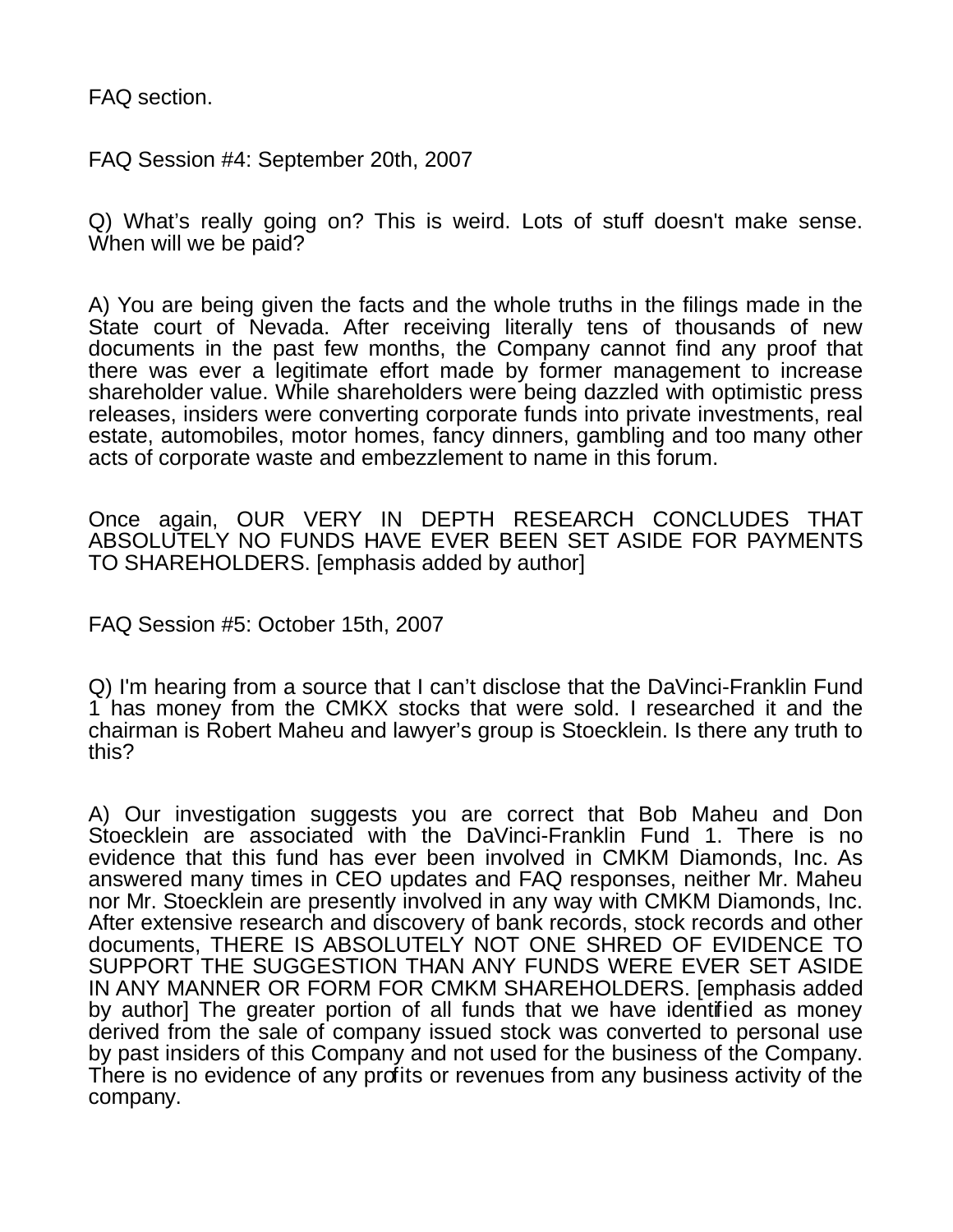FAQ section.

FAQ Session #4: September 20th, 2007

Q) What's really going on? This is weird. Lots of stuff doesn't make sense. When will we be paid?

A) You are being given the facts and the whole truths in the filings made in the State court of Nevada. After receiving literally tens of thousands of new documents in the past few months, the Company cannot find any proof that there was ever a legitimate effort made by former management to increase shareholder value. While shareholders were being dazzled with optimistic press releases, insiders were converting corporate funds into private investments, real estate, automobiles, motor homes, fancy dinners, gambling and too many other acts of corporate waste and embezzlement to name in this forum.

Once again, OUR VERY IN DEPTH RESEARCH CONCLUDES THAT ABSOLUTELY NO FUNDS HAVE EVER BEEN SET ASIDE FOR PAYMENTS TO SHAREHOLDERS. [emphasis added by author]

FAQ Session #5: October 15th, 2007

Q) I'm hearing from a source that I can't disclose that the DaVinci-Franklin Fund 1 has money from the CMKX stocks that were sold. I researched it and the chairman is Robert Maheu and lawyer's group is Stoecklein. Is there any truth to this?

A) Our investigation suggests you are correct that Bob Maheu and Don Stoecklein are associated with the DaVinci-Franklin Fund 1. There is no evidence that this fund has ever been involved in CMKM Diamonds, Inc. As answered many times in CEO updates and FAQ responses, neither Mr. Maheu nor Mr. Stoecklein are presently involved in any way with CMKM Diamonds, Inc. After extensive research and discovery of bank records, stock records and other documents, THERE IS ABSOLUTELY NOT ONE SHRED OF EVIDENCE TO SUPPORT THE SUGGESTION THAN ANY FUNDS WERE EVER SET ASIDE IN ANY MANNER OR FORM FOR CMKM SHAREHOLDERS. [emphasis added by author] The greater portion of all funds that we have identified as money derived from the sale of company issued stock was converted to personal use by past insiders of this Company and not used for the business of the Company. There is no evidence of any profits or revenues from any business activity of the company.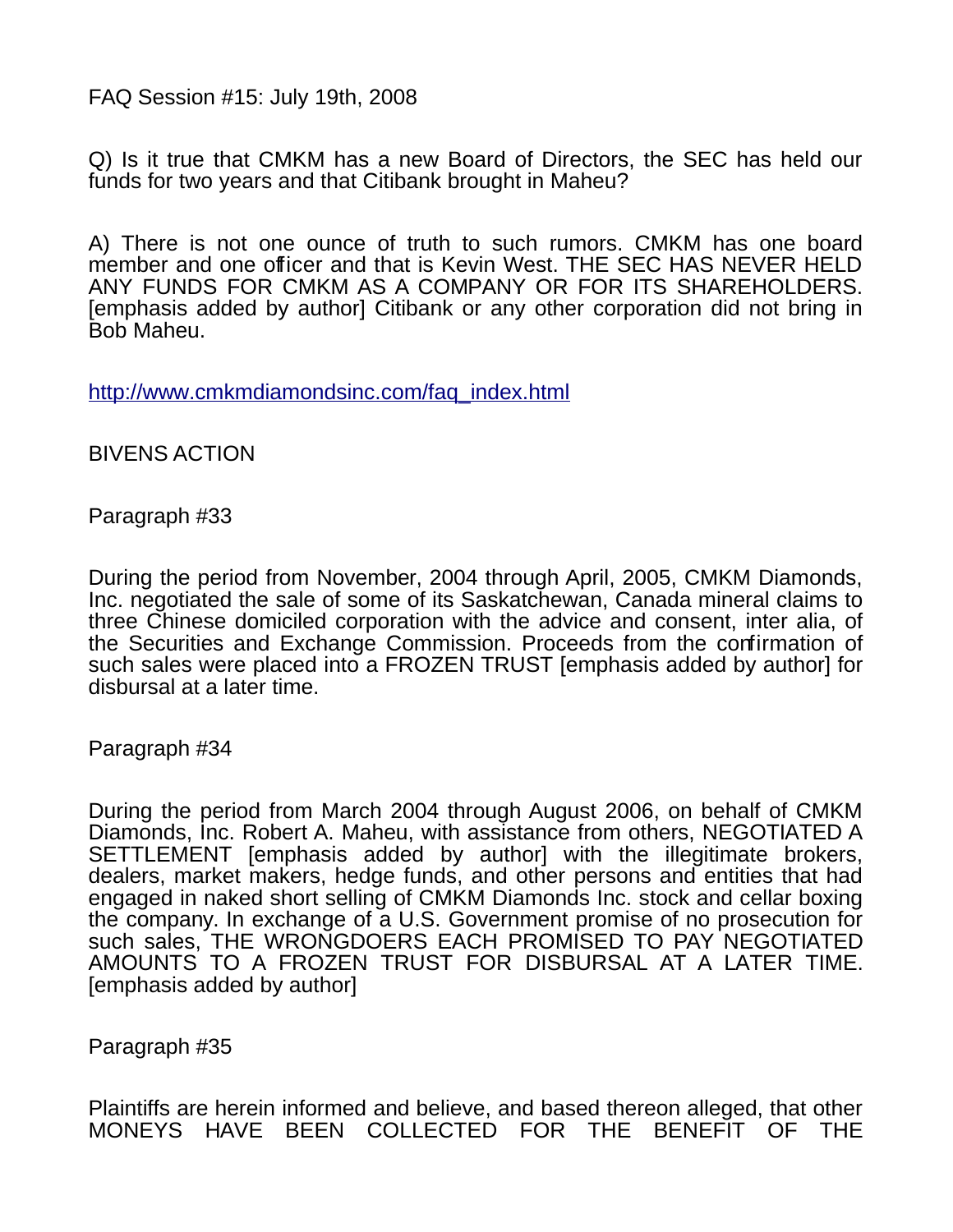FAQ Session #15: July 19th, 2008

Q) Is it true that CMKM has a new Board of Directors, the SEC has held our funds for two years and that Citibank brought in Maheu?

A) There is not one ounce of truth to such rumors. CMKM has one board member and one officer and that is Kevin West. THE SEC HAS NEVER HELD ANY FUNDS FOR CMKM AS A COMPANY OR FOR ITS SHAREHOLDERS. [emphasis added by author] Citibank or any other corporation did not bring in Bob Maheu.

[http://www.cmkmdiamondsinc.com/faq\\_index.html](http://www.cmkmdiamondsinc.com/faq_index.html)

BIVENS ACTION

Paragraph #33

During the period from November, 2004 through April, 2005, CMKM Diamonds, Inc. negotiated the sale of some of its Saskatchewan, Canada mineral claims to three Chinese domiciled corporation with the advice and consent, inter alia, of the Securities and Exchange Commission. Proceeds from the confirmation of such sales were placed into a FROZEN TRUST [emphasis added by author] for disbursal at a later time.

Paragraph #34

During the period from March 2004 through August 2006, on behalf of CMKM Diamonds, Inc. Robert A. Maheu, with assistance from others, NEGOTIATED A SETTLEMENT [emphasis added by author] with the illegitimate brokers, dealers, market makers, hedge funds, and other persons and entities that had engaged in naked short selling of CMKM Diamonds Inc. stock and cellar boxing the company. In exchange of a U.S. Government promise of no prosecution for such sales, THE WRONGDOERS EACH PROMISED TO PAY NEGOTIATED AMOUNTS TO A FROZEN TRUST FOR DISBURSAL AT A LATER TIME. [emphasis added by author]

Paragraph #35

Plaintiffs are herein informed and believe, and based thereon alleged, that other MONEYS HAVE BEEN COLLECTED FOR THE BENEFIT OF THE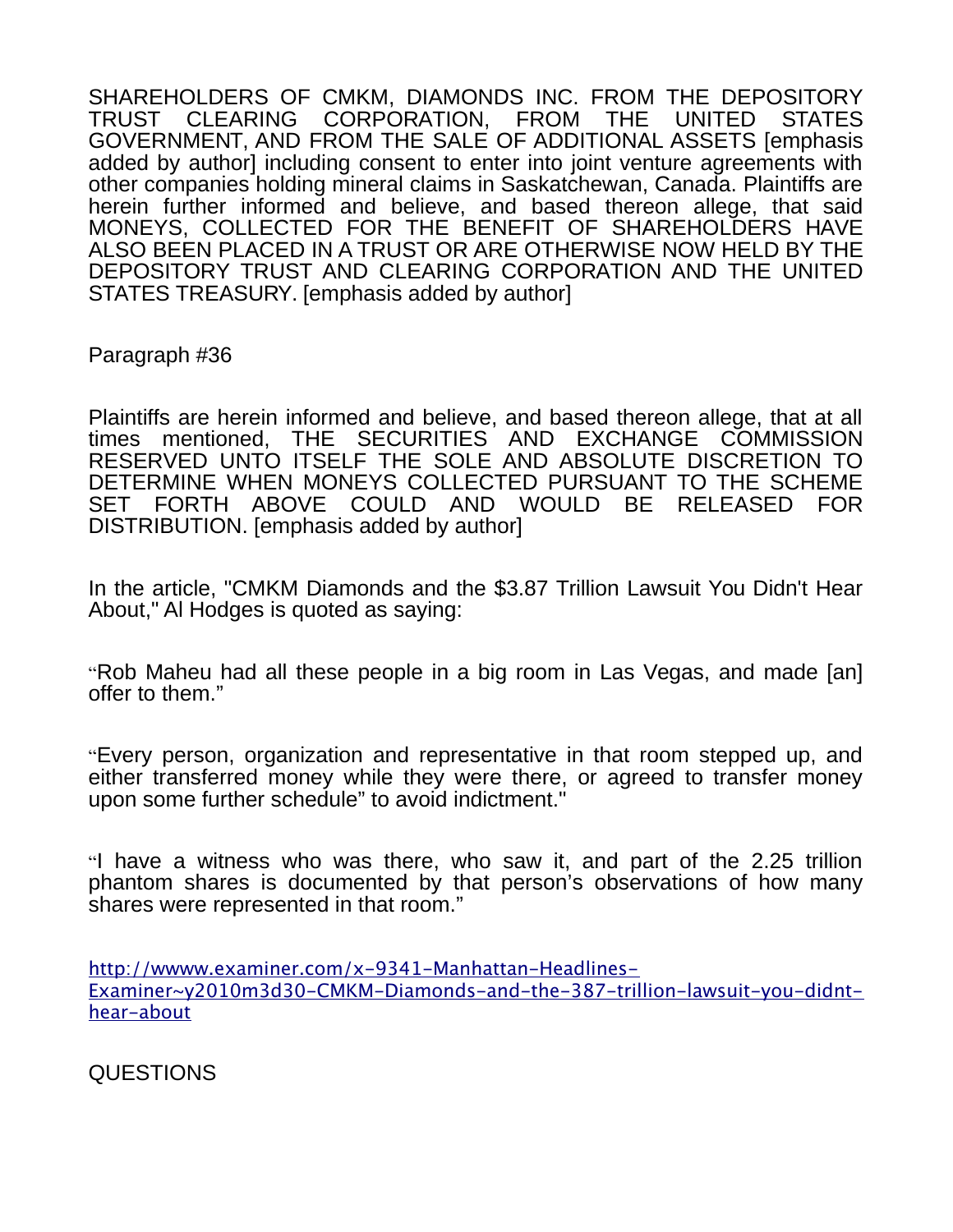SHAREHOLDERS OF CMKM, DIAMONDS INC. FROM THE DEPOSITORY TRUST CLEARING CORPORATION, FROM THE UNITED STATES GOVERNMENT, AND FROM THE SALE OF ADDITIONAL ASSETS [emphasis added by author] including consent to enter into joint venture agreements with other companies holding mineral claims in Saskatchewan, Canada. Plaintiffs are herein further informed and believe, and based thereon allege, that said MONEYS, COLLECTED FOR THE BENEFIT OF SHAREHOLDERS HAVE ALSO BEEN PLACED IN A TRUST OR ARE OTHERWISE NOW HELD BY THE DEPOSITORY TRUST AND CLEARING CORPORATION AND THE UNITED STATES TREASURY. [emphasis added by author]

Paragraph #36

Plaintiffs are herein informed and believe, and based thereon allege, that at all times mentioned, THE SECURITIES AND EXCHANGE COMMISSION RESERVED UNTO ITSELF THE SOLE AND ABSOLUTE DISCRETION TO DETERMINE WHEN MONEYS COLLECTED PURSUANT TO THE SCHEME SET FORTH ABOVE COULD AND WOULD BE RELEASED FOR DISTRIBUTION. [emphasis added by author]

In the article, "CMKM Diamonds and the \$3.87 Trillion Lawsuit You Didn't Hear About," Al Hodges is quoted as saying:

"Rob Maheu had all these people in a big room in Las Vegas, and made [an] offer to them."

"Every person, organization and representative in that room stepped up, and either transferred money while they were there, or agreed to transfer money upon some further schedule" to avoid indictment."

"I have a witness who was there, who saw it, and part of the 2.25 trillion phantom shares is documented by that person's observations of how many shares were represented in that room."

[http://wwww.examiner.com/x-9341-Manhattan-Headlines-](http://wwww.examiner.com/x-9341-Manhattan-Headlines-Examiner~y2010m3d30-CMKM-Diamonds-and-the-387-trillion-lawsuit-you-didnt-hear-about)[Examiner~y2010m3d30-CMKM-Diamonds-and-the-387-trillion-lawsuit-you-didnt](http://wwww.examiner.com/x-9341-Manhattan-Headlines-Examiner~y2010m3d30-CMKM-Diamonds-and-the-387-trillion-lawsuit-you-didnt-hear-about)[hear-about](http://wwww.examiner.com/x-9341-Manhattan-Headlines-Examiner~y2010m3d30-CMKM-Diamonds-and-the-387-trillion-lawsuit-you-didnt-hear-about)

QUESTIONS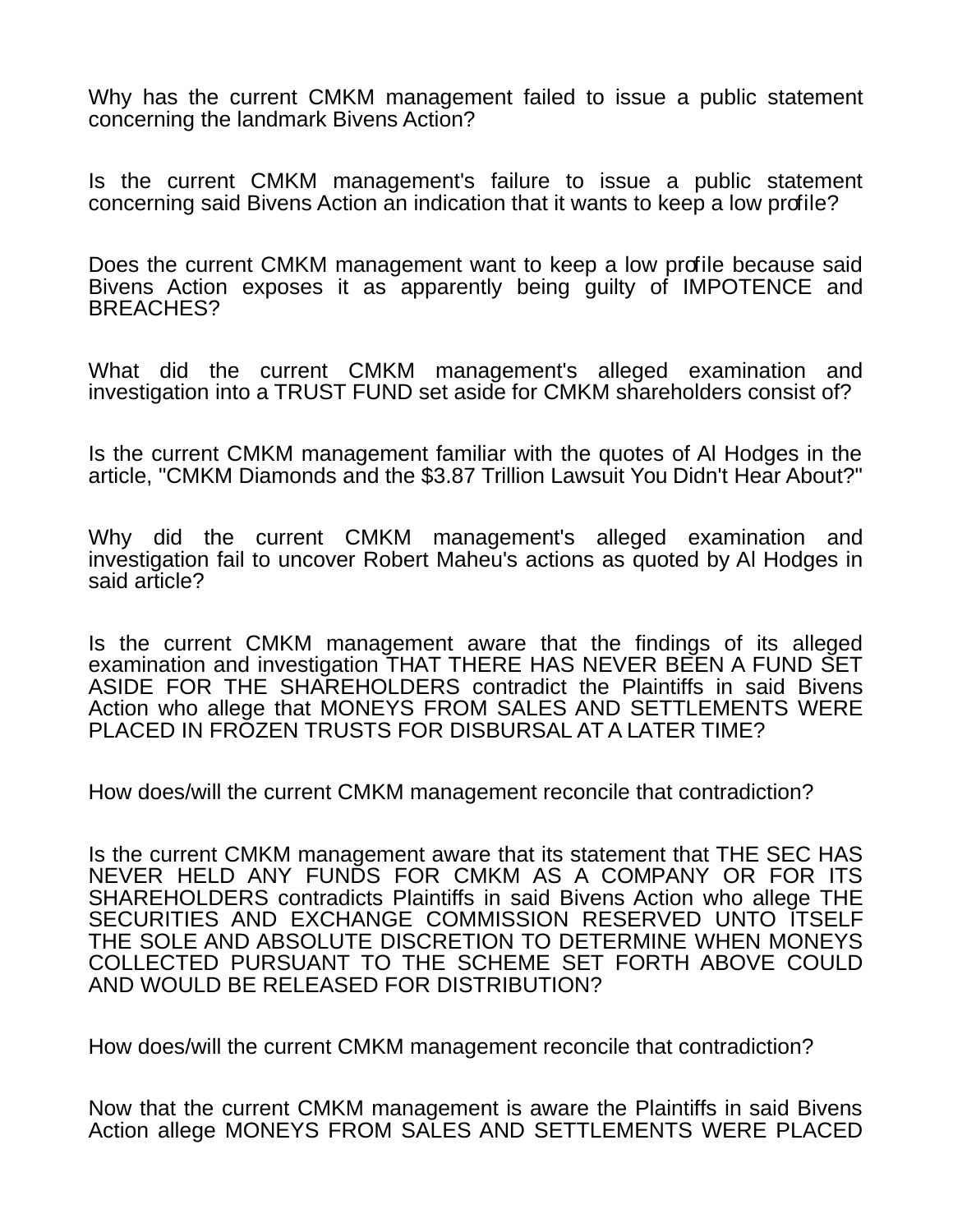Why has the current CMKM management failed to issue a public statement concerning the landmark Bivens Action?

Is the current CMKM management's failure to issue a public statement concerning said Bivens Action an indication that it wants to keep a low profile?

Does the current CMKM management want to keep a low profile because said Bivens Action exposes it as apparently being guilty of IMPOTENCE and BREACHES?

What did the current CMKM management's alleged examination and investigation into a TRUST FUND set aside for CMKM shareholders consist of?

Is the current CMKM management familiar with the quotes of Al Hodges in the article, "CMKM Diamonds and the \$3.87 Trillion Lawsuit You Didn't Hear About?"

Why did the current CMKM management's alleged examination and investigation fail to uncover Robert Maheu's actions as quoted by Al Hodges in said article?

Is the current CMKM management aware that the findings of its alleged examination and investigation THAT THERE HAS NEVER BEEN A FUND SET ASIDE FOR THE SHAREHOLDERS contradict the Plaintiffs in said Bivens Action who allege that MONEYS FROM SALES AND SETTLEMENTS WERE PLACED IN FROZEN TRUSTS FOR DISBURSAL AT A LATER TIME?

How does/will the current CMKM management reconcile that contradiction?

Is the current CMKM management aware that its statement that THE SEC HAS NEVER HELD ANY FUNDS FOR CMKM AS A COMPANY OR FOR ITS SHAREHOLDERS contradicts Plaintiffs in said Bivens Action who allege THE SECURITIES AND EXCHANGE COMMISSION RESERVED UNTO ITSELF THE SOLE AND ABSOLUTE DISCRETION TO DETERMINE WHEN MONEYS COLLECTED PURSUANT TO THE SCHEME SET FORTH ABOVE COULD AND WOULD BE RELEASED FOR DISTRIBUTION?

How does/will the current CMKM management reconcile that contradiction?

Now that the current CMKM management is aware the Plaintiffs in said Bivens Action allege MONEYS FROM SALES AND SETTLEMENTS WERE PLACED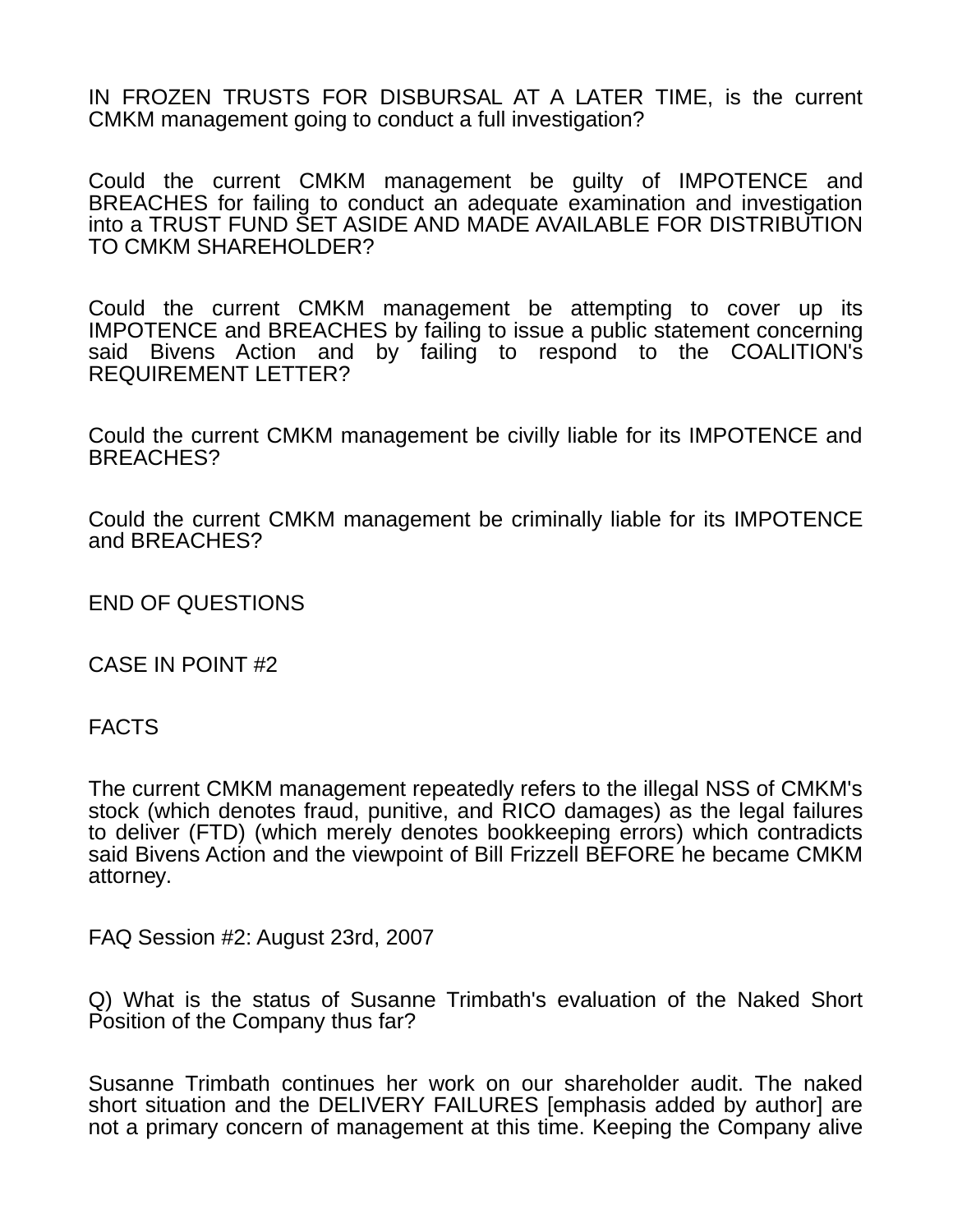IN FROZEN TRUSTS FOR DISBURSAL AT A LATER TIME, is the current CMKM management going to conduct a full investigation?

Could the current CMKM management be guilty of IMPOTENCE and BREACHES for failing to conduct an adequate examination and investigation into a TRUST FUND SET ASIDE AND MADE AVAILABLE FOR DISTRIBUTION TO CMKM SHAREHOLDER?

Could the current CMKM management be attempting to cover up its IMPOTENCE and BREACHES by failing to issue a public statement concerning said Bivens Action and by failing to respond to the COALITION's REQUIREMENT LETTER?

Could the current CMKM management be civilly liable for its IMPOTENCE and BREACHES?

Could the current CMKM management be criminally liable for its IMPOTENCE and BREACHES?

END OF QUESTIONS

CASE IN POINT #2

FACTS

The current CMKM management repeatedly refers to the illegal NSS of CMKM's stock (which denotes fraud, punitive, and RICO damages) as the legal failures to deliver (FTD) (which merely denotes bookkeeping errors) which contradicts said Bivens Action and the viewpoint of Bill Frizzell BEFORE he became CMKM attorney.

FAQ Session #2: August 23rd, 2007

Q) What is the status of Susanne Trimbath's evaluation of the Naked Short Position of the Company thus far?

Susanne Trimbath continues her work on our shareholder audit. The naked short situation and the DELIVERY FAILURES [emphasis added by author] are not a primary concern of management at this time. Keeping the Company alive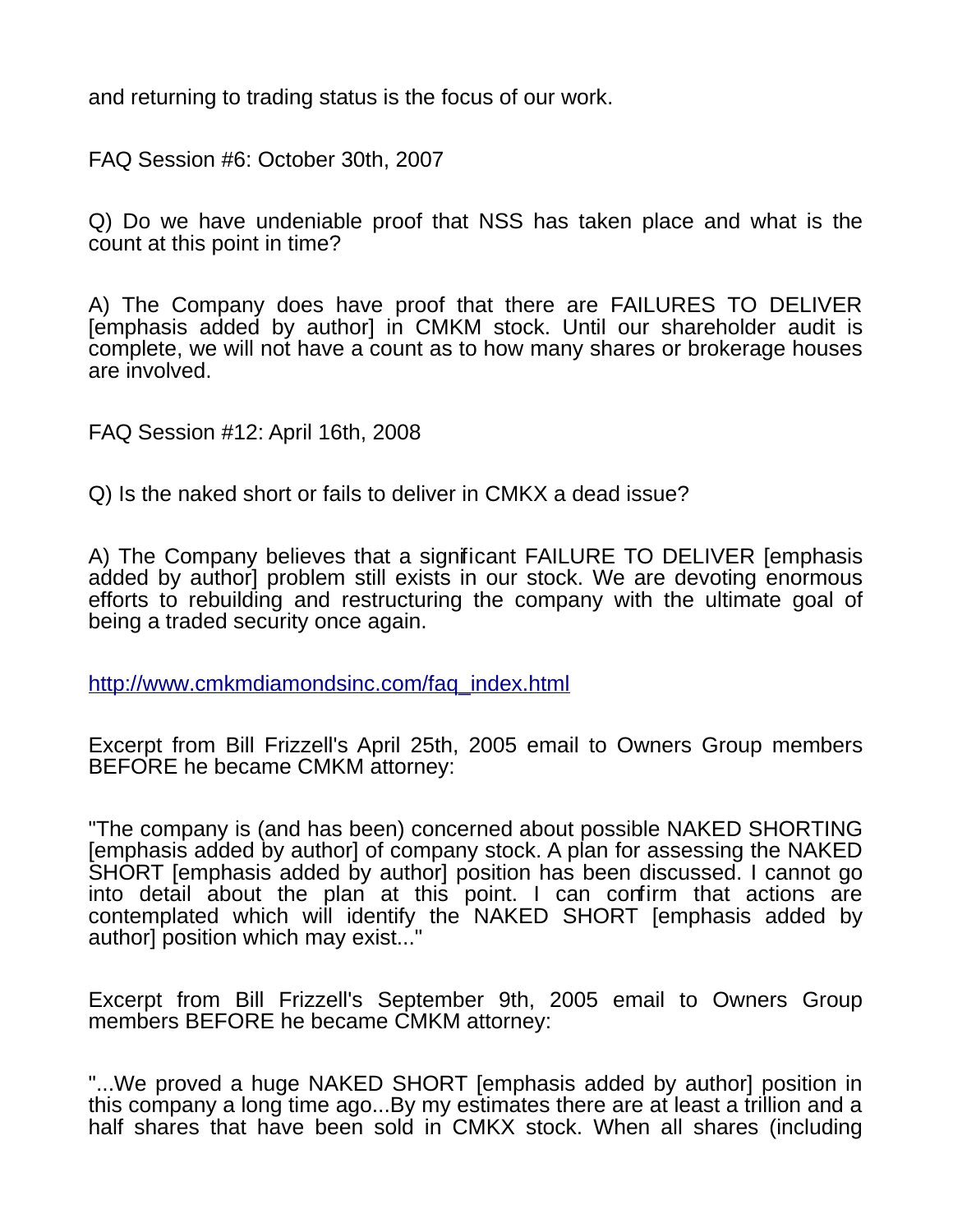and returning to trading status is the focus of our work.

FAQ Session #6: October 30th, 2007

Q) Do we have undeniable proof that NSS has taken place and what is the count at this point in time?

A) The Company does have proof that there are FAILURES TO DELIVER [emphasis added by author] in CMKM stock. Until our shareholder audit is complete, we will not have a count as to how many shares or brokerage houses are involved.

FAQ Session #12: April 16th, 2008

Q) Is the naked short or fails to deliver in CMKX a dead issue?

A) The Company believes that a significant FAILURE TO DELIVER [emphasis added by author] problem still exists in our stock. We are devoting enormous efforts to rebuilding and restructuring the company with the ultimate goal of being a traded security once again.

[http://www.cmkmdiamondsinc.com/faq\\_index.html](http://www.cmkmdiamondsinc.com/faq_index.html)

Excerpt from Bill Frizzell's April 25th, 2005 email to Owners Group members BEFORE he became CMKM attorney:

"The company is (and has been) concerned about possible NAKED SHORTING [emphasis added by author] of company stock. A plan for assessing the NAKED SHORT [emphasis added by author] position has been discussed. I cannot go into detail about the plan at this point. I can confirm that actions are contemplated which will identify the NAKED SHORT [emphasis added by author] position which may exist..."

Excerpt from Bill Frizzell's September 9th, 2005 email to Owners Group members BEFORE he became CMKM attorney:

"...We proved a huge NAKED SHORT [emphasis added by author] position in this company a long time ago...By my estimates there are at least a trillion and a half shares that have been sold in CMKX stock. When all shares (including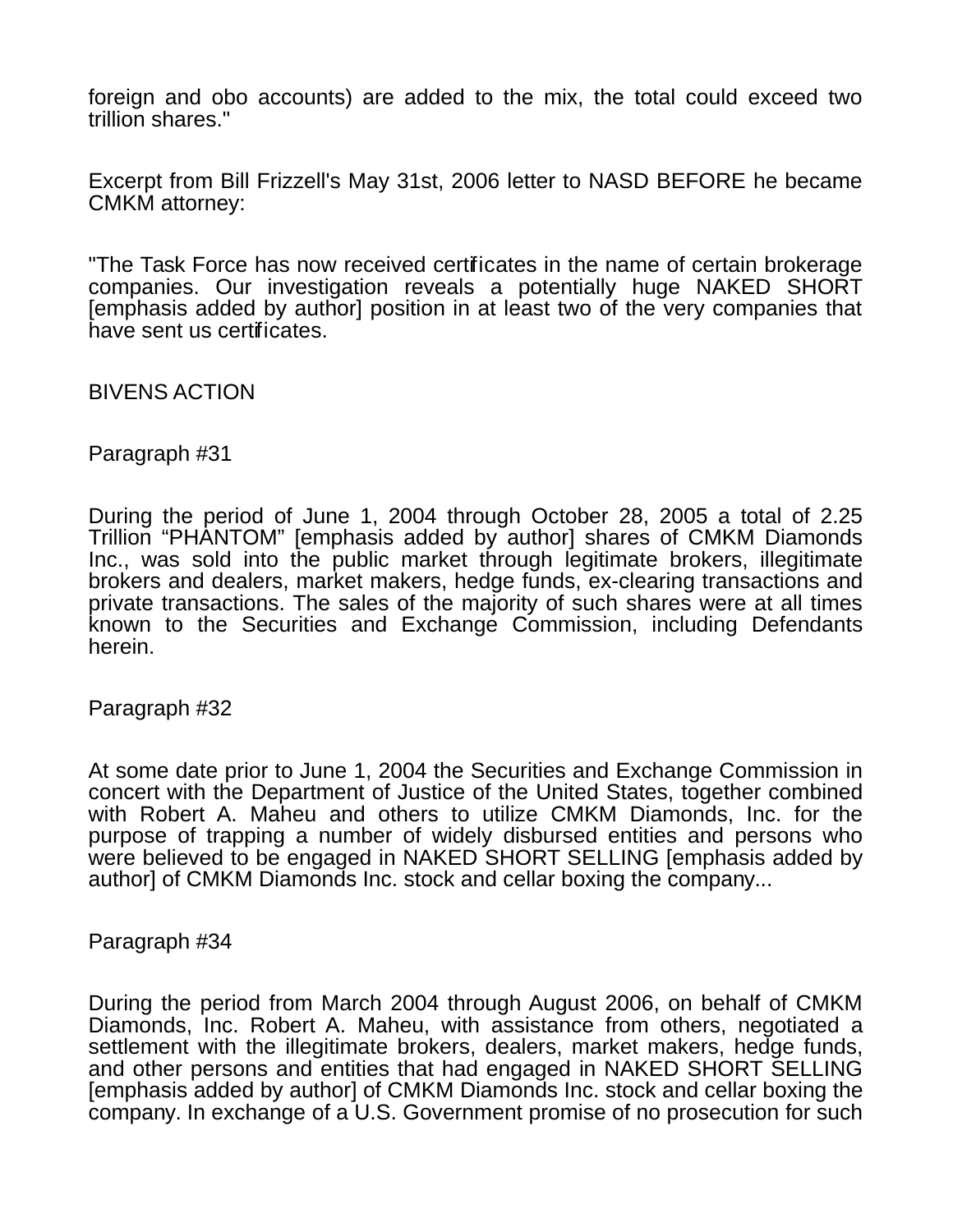foreign and obo accounts) are added to the mix, the total could exceed two trillion shares."

Excerpt from Bill Frizzell's May 31st, 2006 letter to NASD BEFORE he became CMKM attorney:

"The Task Force has now received certificates in the name of certain brokerage companies. Our investigation reveals a potentially huge NAKED SHORT [emphasis added by author] position in at least two of the very companies that have sent us certificates.

BIVENS ACTION

Paragraph #31

During the period of June 1, 2004 through October 28, 2005 a total of 2.25 Trillion "PHANTOM" [emphasis added by author] shares of CMKM Diamonds Inc., was sold into the public market through legitimate brokers, illegitimate brokers and dealers, market makers, hedge funds, ex-clearing transactions and private transactions. The sales of the majority of such shares were at all times known to the Securities and Exchange Commission, including Defendants herein.

Paragraph #32

At some date prior to June 1, 2004 the Securities and Exchange Commission in concert with the Department of Justice of the United States, together combined with Robert A. Maheu and others to utilize CMKM Diamonds, Inc. for the purpose of trapping a number of widely disbursed entities and persons who were believed to be engaged in NAKED SHORT SELLING [emphasis added by author] of CMKM Diamonds Inc. stock and cellar boxing the company...

Paragraph #34

During the period from March 2004 through August 2006, on behalf of CMKM Diamonds, Inc. Robert A. Maheu, with assistance from others, negotiated a settlement with the illegitimate brokers, dealers, market makers, hedge funds, and other persons and entities that had engaged in NAKED SHORT SELLING [emphasis added by author] of CMKM Diamonds Inc. stock and cellar boxing the company. In exchange of a U.S. Government promise of no prosecution for such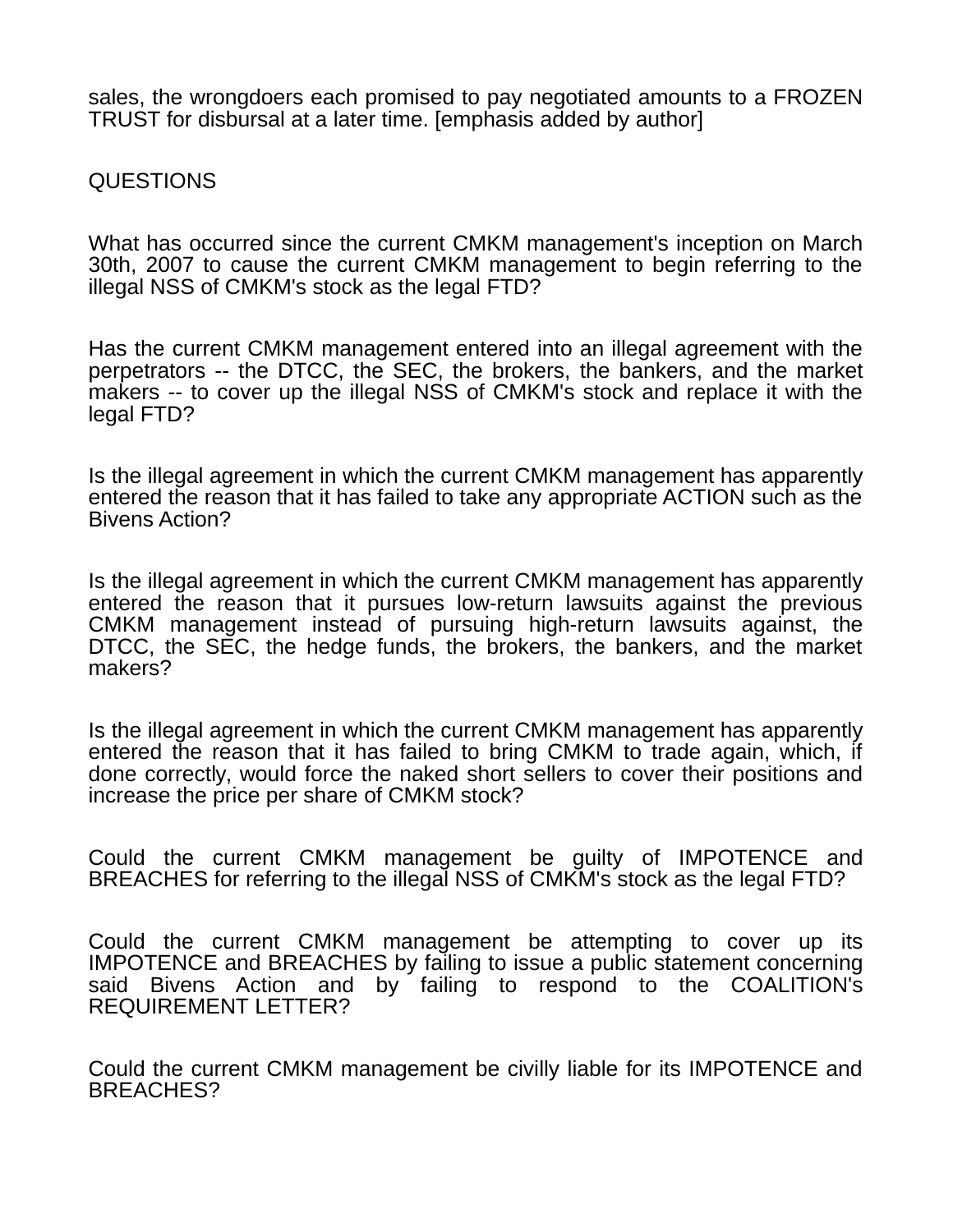sales, the wrongdoers each promised to pay negotiated amounts to a FROZEN TRUST for disbursal at a later time. [emphasis added by author]

QUESTIONS

What has occurred since the current CMKM management's inception on March 30th, 2007 to cause the current CMKM management to begin referring to the illegal NSS of CMKM's stock as the legal FTD?

Has the current CMKM management entered into an illegal agreement with the perpetrators -- the DTCC, the SEC, the brokers, the bankers, and the market makers -- to cover up the illegal NSS of CMKM's stock and replace it with the legal FTD?

Is the illegal agreement in which the current CMKM management has apparently entered the reason that it has failed to take any appropriate ACTION such as the Bivens Action?

Is the illegal agreement in which the current CMKM management has apparently entered the reason that it pursues low-return lawsuits against the previous CMKM management instead of pursuing high-return lawsuits against, the DTCC, the SEC, the hedge funds, the brokers, the bankers, and the market makers?

Is the illegal agreement in which the current CMKM management has apparently entered the reason that it has failed to bring CMKM to trade again, which, if done correctly, would force the naked short sellers to cover their positions and increase the price per share of CMKM stock?

Could the current CMKM management be guilty of IMPOTENCE and BREACHES for referring to the illegal NSS of CMKM's stock as the legal FTD?

Could the current CMKM management be attempting to cover up its IMPOTENCE and BREACHES by failing to issue a public statement concerning said Bivens Action and by failing to respond to the COALITION's REQUIREMENT LETTER?

Could the current CMKM management be civilly liable for its IMPOTENCE and BREACHES?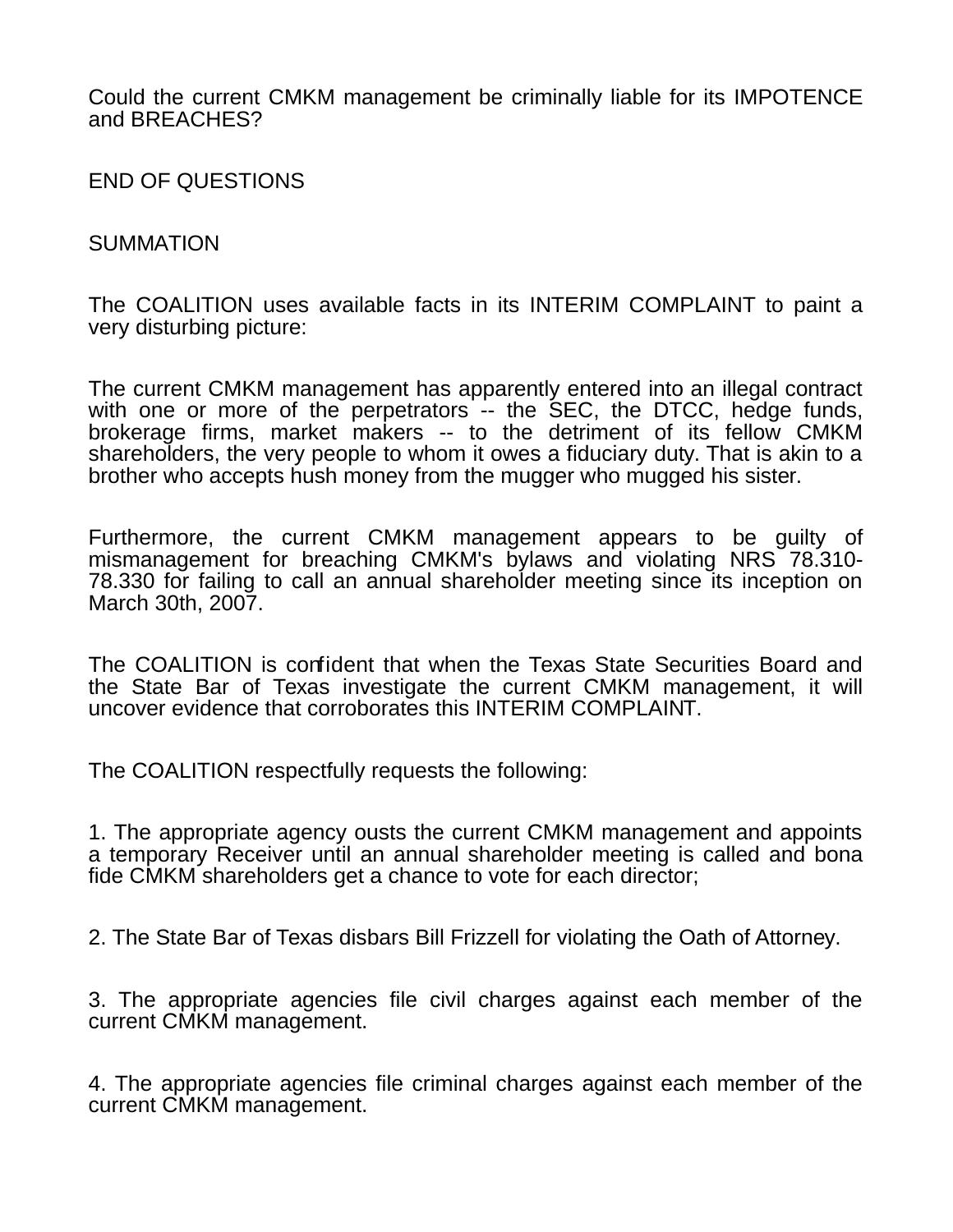Could the current CMKM management be criminally liable for its IMPOTENCE and BREACHES?

END OF QUESTIONS

## SUMMATION

The COALITION uses available facts in its INTERIM COMPLAINT to paint a very disturbing picture:

The current CMKM management has apparently entered into an illegal contract with one or more of the perpetrators -- the SEC, the DTCC, hedge funds, brokerage firms, market makers -- to the detriment of its fellow CMKM shareholders, the very people to whom it owes a fiduciary duty. That is akin to a brother who accepts hush money from the mugger who mugged his sister.

Furthermore, the current CMKM management appears to be guilty of mismanagement for breaching CMKM's bylaws and violating NRS 78.310- 78.330 for failing to call an annual shareholder meeting since its inception on March 30th, 2007.

The COALITION is confident that when the Texas State Securities Board and the State Bar of Texas investigate the current CMKM management, it will uncover evidence that corroborates this INTERIM COMPLAINT.

The COALITION respectfully requests the following:

1. The appropriate agency ousts the current CMKM management and appoints a temporary Receiver until an annual shareholder meeting is called and bona fide CMKM shareholders get a chance to vote for each director;

2. The State Bar of Texas disbars Bill Frizzell for violating the Oath of Attorney.

3. The appropriate agencies file civil charges against each member of the current CMKM management.

4. The appropriate agencies file criminal charges against each member of the current CMKM management.